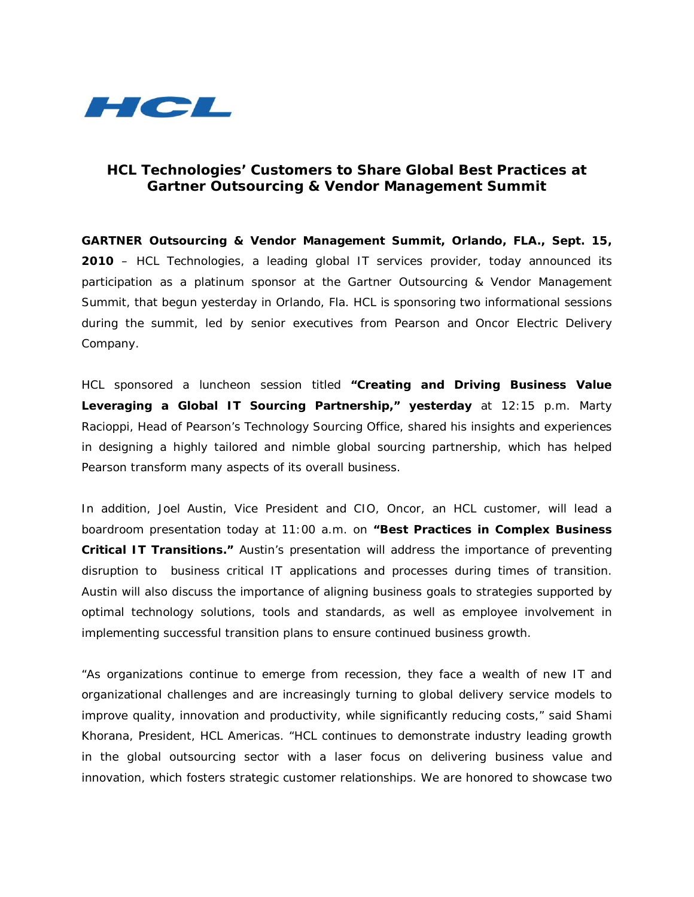

# **HCL Technologies' Customers to Share Global Best Practices at Gartner Outsourcing & Vendor Management Summit**

**GARTNER Outsourcing & Vendor Management Summit, Orlando, FLA., Sept. 15, 2010** – HCL Technologies, a leading global IT services provider, today announced its participation as a platinum sponsor at the Gartner Outsourcing & Vendor Management Summit, that begun yesterday in Orlando, Fla. HCL is sponsoring two informational sessions during the summit, led by senior executives from Pearson and Oncor Electric Delivery Company.

HCL sponsored a luncheon session titled **"Creating and Driving Business Value Leveraging a Global IT Sourcing Partnership," yesterday** at 12:15 p.m. Marty Racioppi, Head of Pearson's Technology Sourcing Office, shared his insights and experiences in designing a highly tailored and nimble global sourcing partnership, which has helped Pearson transform many aspects of its overall business.

In addition, Joel Austin, Vice President and CIO, Oncor, an HCL customer, will lead a boardroom presentation today at 11:00 a.m. on **"Best Practices in Complex Business Critical IT Transitions."** Austin's presentation will address the importance of preventing disruption to business critical IT applications and processes during times of transition. Austin will also discuss the importance of aligning business goals to strategies supported by optimal technology solutions, tools and standards, as well as employee involvement in implementing successful transition plans to ensure continued business growth.

"As organizations continue to emerge from recession, they face a wealth of new IT and organizational challenges and are increasingly turning to global delivery service models to improve quality, innovation and productivity, while significantly reducing costs," said Shami Khorana, President, HCL Americas. "HCL continues to demonstrate industry leading growth in the global outsourcing sector with a laser focus on delivering business value and innovation, which fosters strategic customer relationships. We are honored to showcase two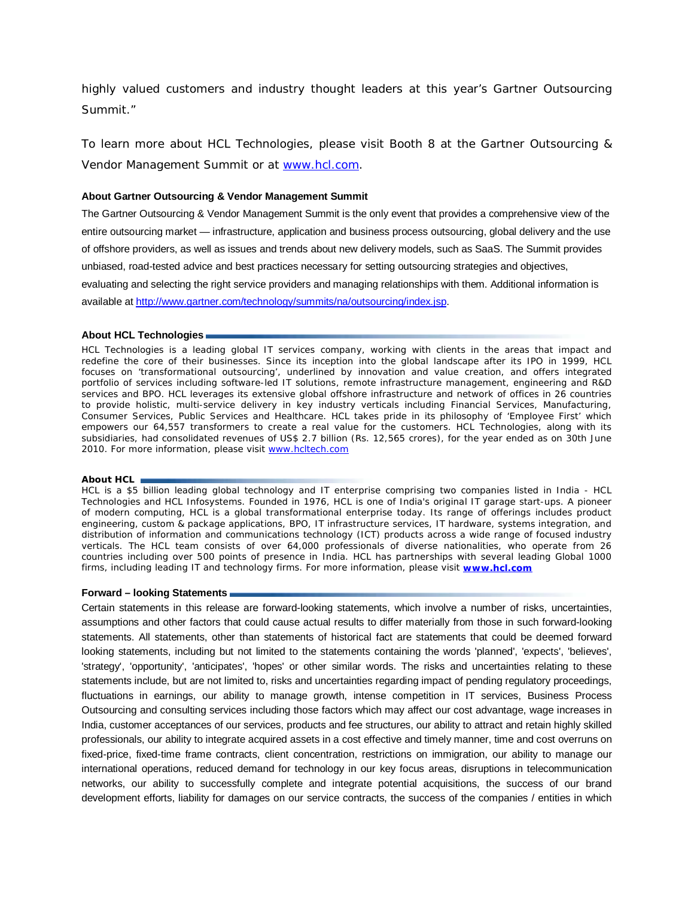highly valued customers and industry thought leaders at this year's Gartner Outsourcing Summit."

To learn more about HCL Technologies, please visit Booth 8 at the Gartner Outsourcing & Vendor Management Summit or at [www.hcl.com.](http://www.hcl.com/)

## **About Gartner Outsourcing & Vendor Management Summit**

The Gartner Outsourcing & Vendor Management Summit is the only event that provides a comprehensive view of the entire outsourcing market — infrastructure, application and business process outsourcing, global delivery and the use of offshore providers, as well as issues and trends about new delivery models, such as SaaS. The Summit provides unbiased, road-tested advice and best practices necessary for setting outsourcing strategies and objectives, evaluating and selecting the right service providers and managing relationships with them. Additional information is available at [http://www.gartner.com/technology/summits/na/outsourcing/index.jsp.](http://www.gartner.com/technology/summits/na/outsourcing/index.jsp)

### **About HCL Technologies**

HCL Technologies is a leading global IT services company, working with clients in the areas that impact and redefine the core of their businesses. Since its inception into the global landscape after its IPO in 1999, HCL focuses on 'transformational outsourcing', underlined by innovation and value creation, and offers integrated portfolio of services including software-led IT solutions, remote infrastructure management, engineering and R&D services and BPO. HCL leverages its extensive global offshore infrastructure and network of offices in 26 countries to provide holistic, multi-service delivery in key industry verticals including Financial Services, Manufacturing, Consumer Services, Public Services and Healthcare. HCL takes pride in its philosophy of 'Employee First' which empowers our 64,557 transformers to create a real value for the customers. HCL Technologies, along with its subsidiaries, had consolidated revenues of US\$ 2.7 billion (Rs. 12,565 crores), for the year ended as on 30th June 2010. For more information, please visit [www.hcltech.com](http://www.hcltech.com/) 

#### **About HCL**

HCL is a \$5 billion leading global technology and IT enterprise comprising two companies listed in India - HCL Technologies and HCL Infosystems. Founded in 1976, HCL is one of India's original IT garage start-ups. A pioneer of modern computing, HCL is a global transformational enterprise today. Its range of offerings includes product engineering, custom & package applications, BPO, IT infrastructure services, IT hardware, systems integration, and distribution of information and communications technology (ICT) products across a wide range of focused industry verticals. The HCL team consists of over 64,000 professionals of diverse nationalities, who operate from 26 countries including over 500 points of presence in India. HCL has partnerships with several leading Global 1000 firms, including leading IT and technology firms. For more information, please visit **[www.hcl.com](http://www.hcl.com/)**

#### **Forward – looking Statements**

Certain statements in this release are forward-looking statements, which involve a number of risks, uncertainties, assumptions and other factors that could cause actual results to differ materially from those in such forward-looking statements. All statements, other than statements of historical fact are statements that could be deemed forward looking statements, including but not limited to the statements containing the words 'planned', 'expects', 'believes', 'strategy', 'opportunity', 'anticipates', 'hopes' or other similar words. The risks and uncertainties relating to these statements include, but are not limited to, risks and uncertainties regarding impact of pending regulatory proceedings, fluctuations in earnings, our ability to manage growth, intense competition in IT services, Business Process Outsourcing and consulting services including those factors which may affect our cost advantage, wage increases in India, customer acceptances of our services, products and fee structures, our ability to attract and retain highly skilled professionals, our ability to integrate acquired assets in a cost effective and timely manner, time and cost overruns on fixed-price, fixed-time frame contracts, client concentration, restrictions on immigration, our ability to manage our international operations, reduced demand for technology in our key focus areas, disruptions in telecommunication networks, our ability to successfully complete and integrate potential acquisitions, the success of our brand development efforts, liability for damages on our service contracts, the success of the companies / entities in which